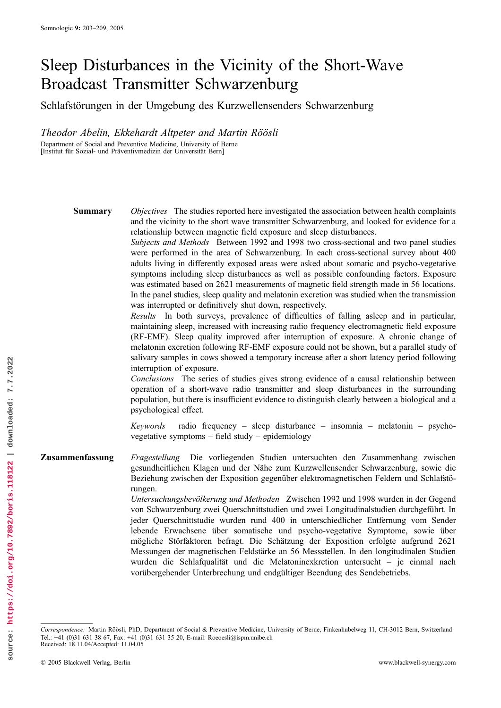# Sleep Disturbances in the Vicinity of the Short-Wave Broadcast Transmitter Schwarzenburg

Schlafstörungen in der Umgebung des Kurzwellensenders Schwarzenburg

Theodor Abelin, Ekkehardt Altpeter and Martin Röösli

Department of Social and Preventive Medicine, University of Berne

[Institut für Sozial- und Präventivmedizin der Universität Bern]

Summary Objectives The studies reported here investigated the association between health complaints and the vicinity to the short wave transmitter Schwarzenburg, and looked for evidence for a relationship between magnetic field exposure and sleep disturbances.

> Subjects and Methods Between 1992 and 1998 two cross-sectional and two panel studies were performed in the area of Schwarzenburg. In each cross-sectional survey about 400 adults living in differently exposed areas were asked about somatic and psycho-vegetative symptoms including sleep disturbances as well as possible confounding factors. Exposure was estimated based on 2621 measurements of magnetic field strength made in 56 locations. In the panel studies, sleep quality and melatonin excretion was studied when the transmission was interrupted or definitively shut down, respectively.

> Results In both surveys, prevalence of difficulties of falling asleep and in particular, maintaining sleep, increased with increasing radio frequency electromagnetic field exposure (RF-EMF). Sleep quality improved after interruption of exposure. A chronic change of melatonin excretion following RF-EMF exposure could not be shown, but a parallel study of salivary samples in cows showed a temporary increase after a short latency period following interruption of exposure.

> Conclusions The series of studies gives strong evidence of a causal relationship between operation of a short-wave radio transmitter and sleep disturbances in the surrounding population, but there is insufficient evidence to distinguish clearly between a biological and a psychological effect.

> Keywords radio frequency – sleep disturbance – insomnia – melatonin – psychovegetative symptoms – field study – epidemiology

Zusammenfassung Fragestellung Die vorliegenden Studien untersuchten den Zusammenhang zwischen gesundheitlichen Klagen und der Nähe zum Kurzwellensender Schwarzenburg, sowie die Beziehung zwischen der Exposition gegenüber elektromagnetischen Feldern und Schlafstörungen.

> Untersuchungsbevölkerung und Methoden Zwischen 1992 und 1998 wurden in der Gegend von Schwarzenburg zwei Querschnittstudien und zwei Longitudinalstudien durchgeführt. In jeder Querschnittstudie wurden rund 400 in unterschiedlicher Entfernung vom Sender lebende Erwachsene über somatische und psycho-vegetative Symptome, sowie über mögliche Störfaktoren befragt. Die Schätzung der Exposition erfolgte aufgrund 2621 Messungen der magnetischen Feldstärke an 56 Messstellen. In den longitudinalen Studien wurden die Schlafqualität und die Melatoninexkretion untersucht – je einmal nach vorübergehender Unterbrechung und endgültiger Beendung des Sendebetriebs.

Correspondence: Martin Röösli, PhD, Department of Social & Preventive Medicine, University of Berne, Finkenhubelweg 11, CH-3012 Bern, Switzerland Tel.: +41 (0)31 631 38 67, Fax: +41 (0)31 631 35 20, E-mail: Roeoesli@ispm.unibe.ch Received: 18.11.04/Accepted: 11.04.05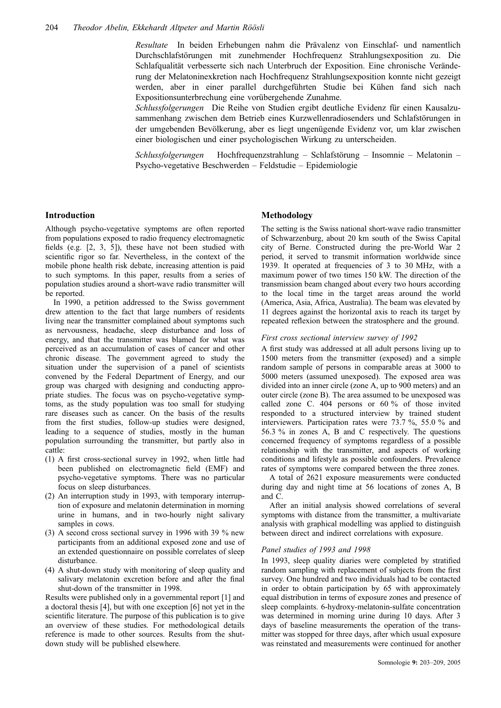Resultate In beiden Erhebungen nahm die Prävalenz von Einschlaf- und namentlich Durchschlafstörungen mit zunehmender Hochfrequenz Strahlungsexposition zu. Die Schlafqualität verbesserte sich nach Unterbruch der Exposition. Eine chronische Veränderung der Melatoninexkretion nach Hochfrequenz Strahlungsexposition konnte nicht gezeigt werden, aber in einer parallel durchgeführten Studie bei Kühen fand sich nach Expositionsunterbrechung eine vorübergehende Zunahme.

Schlussfolgerungen Die Reihe von Studien ergibt deutliche Evidenz für einen Kausalzusammenhang zwischen dem Betrieb eines Kurzwellenradiosenders und Schlafstörungen in der umgebenden Bevölkerung, aber es liegt ungenügende Evidenz vor, um klar zwischen einer biologischen und einer psychologischen Wirkung zu unterscheiden.

Schlussfolgerungen Hochfrequenzstrahlung – Schlafstörung – Insomnie – Melatonin – Psycho-vegetative Beschwerden – Feldstudie – Epidemiologie

# Introduction

Although psycho-vegetative symptoms are often reported from populations exposed to radio frequency electromagnetic fields (e.g. [2, 3, 5]), these have not been studied with scientific rigor so far. Nevertheless, in the context of the mobile phone health risk debate, increasing attention is paid to such symptoms. In this paper, results from a series of population studies around a short-wave radio transmitter will be reported.

In 1990, a petition addressed to the Swiss government drew attention to the fact that large numbers of residents living near the transmitter complained about symptoms such as nervousness, headache, sleep disturbance and loss of energy, and that the transmitter was blamed for what was perceived as an accumulation of cases of cancer and other chronic disease. The government agreed to study the situation under the supervision of a panel of scientists convened by the Federal Department of Energy, and our group was charged with designing and conducting appropriate studies. The focus was on psycho-vegetative symptoms, as the study population was too small for studying rare diseases such as cancer. On the basis of the results from the first studies, follow-up studies were designed, leading to a sequence of studies, mostly in the human population surrounding the transmitter, but partly also in cattle:

- (1) A first cross-sectional survey in 1992, when little had been published on electromagnetic field (EMF) and psycho-vegetative symptoms. There was no particular focus on sleep disturbances.
- (2) An interruption study in 1993, with temporary interruption of exposure and melatonin determination in morning urine in humans, and in two-hourly night salivary samples in cows.
- (3) A second cross sectional survey in 1996 with 39 % new participants from an additional exposed zone and use of an extended questionnaire on possible correlates of sleep disturbance.
- (4) A shut-down study with monitoring of sleep quality and salivary melatonin excretion before and after the final shut-down of the transmitter in 1998.

Results were published only in a governmental report [1] and a doctoral thesis [4], but with one exception [6] not yet in the scientific literature. The purpose of this publication is to give an overview of these studies. For methodological details reference is made to other sources. Results from the shutdown study will be published elsewhere.

## Methodology

The setting is the Swiss national short-wave radio transmitter of Schwarzenburg, about 20 km south of the Swiss Capital city of Berne. Constructed during the pre-World War 2 period, it served to transmit information worldwide since 1939. It operated at frequencies of 3 to 30 MHz, with a maximum power of two times 150 kW. The direction of the transmission beam changed about every two hours according to the local time in the target areas around the world (America, Asia, Africa, Australia). The beam was elevated by 11 degrees against the horizontal axis to reach its target by repeated reflexion between the stratosphere and the ground.

#### First cross sectional interview survey of 1992

A first study was addressed at all adult persons living up to 1500 meters from the transmitter (exposed) and a simple random sample of persons in comparable areas at 3000 to 5000 meters (assumed unexposed). The exposed area was divided into an inner circle (zone A, up to 900 meters) and an outer circle (zone B). The area assumed to be unexposed was called zone C. 404 persons or 60 % of those invited responded to a structured interview by trained student interviewers. Participation rates were 73.7 %, 55.0 % and 56.3 % in zones A, B and C respectively. The questions concerned frequency of symptoms regardless of a possible relationship with the transmitter, and aspects of working conditions and lifestyle as possible confounders. Prevalence rates of symptoms were compared between the three zones.

A total of 2621 exposure measurements were conducted during day and night time at 56 locations of zones A, B and C.

After an initial analysis showed correlations of several symptoms with distance from the transmitter, a multivariate analysis with graphical modelling was applied to distinguish between direct and indirect correlations with exposure.

#### Panel studies of 1993 and 1998

In 1993, sleep quality diaries were completed by stratified random sampling with replacement of subjects from the first survey. One hundred and two individuals had to be contacted in order to obtain participation by 65 with approximately equal distribution in terms of exposure zones and presence of sleep complaints. 6-hydroxy-melatonin-sulfate concentration was determined in morning urine during 10 days. After 3 days of baseline measurements the operation of the transmitter was stopped for three days, after which usual exposure was reinstated and measurements were continued for another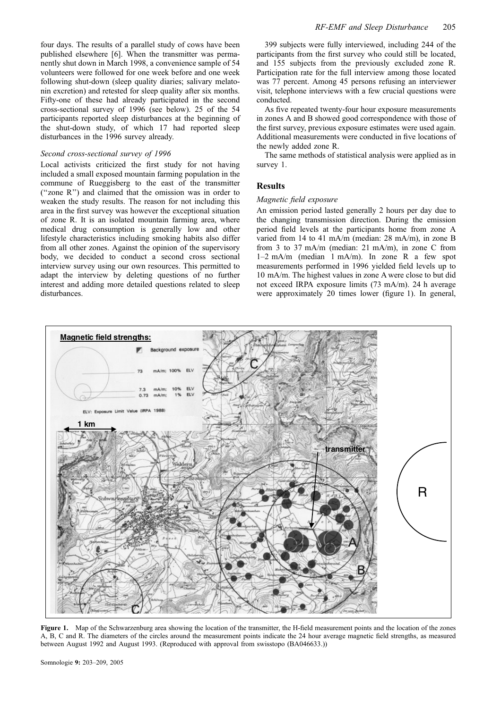#### Second cross-sectional survey of 1996

Local activists criticized the first study for not having included a small exposed mountain farming population in the commune of Rueggisberg to the east of the transmitter (''zone R'') and claimed that the omission was in order to weaken the study results. The reason for not including this area in the first survey was however the exceptional situation of zone R. It is an isolated mountain farming area, where medical drug consumption is generally low and other lifestyle characteristics including smoking habits also differ from all other zones. Against the opinion of the supervisory body, we decided to conduct a second cross sectional interview survey using our own resources. This permitted to adapt the interview by deleting questions of no further interest and adding more detailed questions related to sleep disturbances.

399 subjects were fully interviewed, including 244 of the participants from the first survey who could still be located, and 155 subjects from the previously excluded zone R. Participation rate for the full interview among those located was 77 percent. Among 45 persons refusing an interviewer visit, telephone interviews with a few crucial questions were conducted.

As five repeated twenty-four hour exposure measurements in zones A and B showed good correspondence with those of the first survey, previous exposure estimates were used again. Additional measurements were conducted in five locations of the newly added zone R.

The same methods of statistical analysis were applied as in survey 1.

#### Results

#### Magnetic field exposure

An emission period lasted generally 2 hours per day due to the changing transmission direction. During the emission period field levels at the participants home from zone A varied from 14 to 41 mA/m (median: 28 mA/m), in zone B from 3 to 37 mA/m (median: 21 mA/m), in zone C from 1–2 mA/m (median 1 mA/m). In zone R a few spot measurements performed in 1996 yielded field levels up to 10 mA/m. The highest values in zone A were close to but did not exceed IRPA exposure limits (73 mA/m). 24 h average were approximately 20 times lower (figure 1). In general,



Figure 1. Map of the Schwarzenburg area showing the location of the transmitter, the H-field measurement points and the location of the zones A, B, C and R. The diameters of the circles around the measurement points indicate the 24 hour average magnetic field strengths, as measured between August 1992 and August 1993. (Reproduced with approval from swisstopo (BA046633.))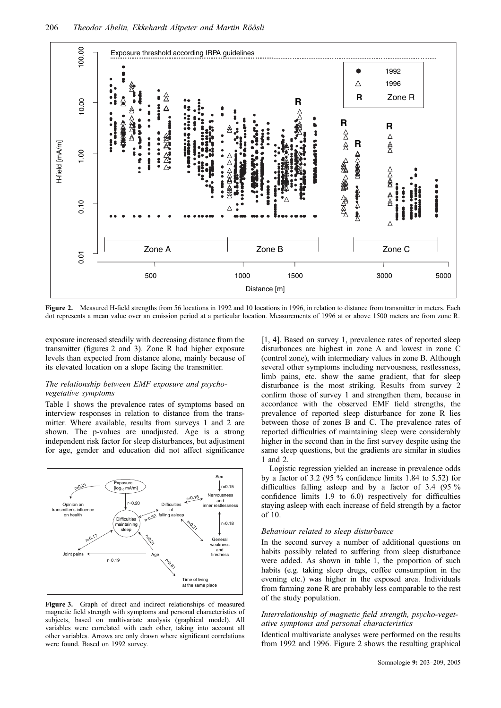

Figure 2. Measured H-field strengths from 56 locations in 1992 and 10 locations in 1996, in relation to distance from transmitter in meters. Each dot represents a mean value over an emission period at a particular location. Measurements of 1996 at or above 1500 meters are from zone R.

exposure increased steadily with decreasing distance from the transmitter (figures 2 and 3). Zone R had higher exposure levels than expected from distance alone, mainly because of its elevated location on a slope facing the transmitter.

## The relationship between EMF exposure and psychovegetative symptoms

Table 1 shows the prevalence rates of symptoms based on interview responses in relation to distance from the transmitter. Where available, results from surveys 1 and 2 are shown. The p-values are unadjusted. Age is a strong independent risk factor for sleep disturbances, but adjustment for age, gender and education did not affect significance



Figure 3. Graph of direct and indirect relationships of measured magnetic field strength with symptoms and personal characteristics of subjects, based on multivariate analysis (graphical model). All variables were correlated with each other, taking into account all other variables. Arrows are only drawn where significant correlations were found. Based on 1992 survey.

[1, 4]. Based on survey 1, prevalence rates of reported sleep disturbances are highest in zone A and lowest in zone C (control zone), with intermediary values in zone B. Although several other symptoms including nervousness, restlessness, limb pains, etc. show the same gradient, that for sleep disturbance is the most striking. Results from survey 2 confirm those of survey 1 and strengthen them, because in accordance with the observed EMF field strengths, the prevalence of reported sleep disturbance for zone R lies between those of zones B and C. The prevalence rates of reported difficulties of maintaining sleep were considerably higher in the second than in the first survey despite using the same sleep questions, but the gradients are similar in studies 1 and 2.

Logistic regression yielded an increase in prevalence odds by a factor of 3.2 (95 % confidence limits 1.84 to 5.52) for difficulties falling asleep and by a factor of 3.4 (95 % confidence limits 1.9 to 6.0) respectively for difficulties staying asleep with each increase of field strength by a factor of 10.

#### Behaviour related to sleep disturbance

In the second survey a number of additional questions on habits possibly related to suffering from sleep disturbance were added. As shown in table 1, the proportion of such habits (e.g. taking sleep drugs, coffee consumption in the evening etc.) was higher in the exposed area. Individuals from farming zone R are probably less comparable to the rest of the study population.

## Interrelationship of magnetic field strength, psycho-vegetative symptoms and personal characteristics

Identical multivariate analyses were performed on the results from 1992 and 1996. Figure 2 shows the resulting graphical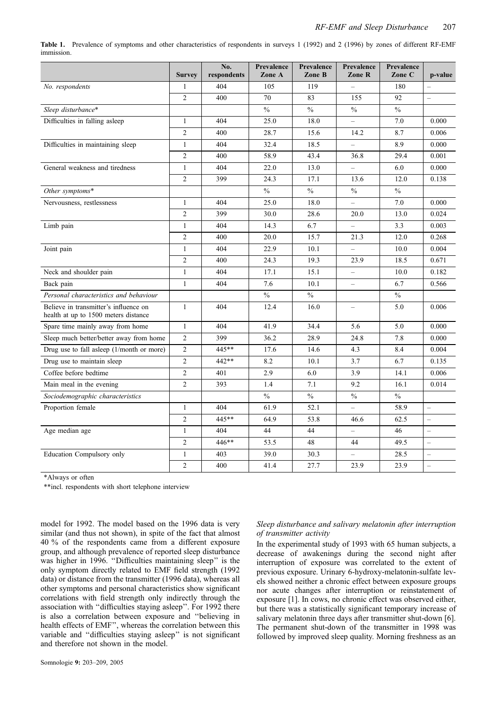Table 1. Prevalence of symptoms and other characteristics of respondents in surveys 1 (1992) and 2 (1996) by zones of different RF-EMF immission.

|                                                                               | <b>Survey</b>  | No.<br>respondents | Prevalence<br>Zone A | Prevalence<br>Zone B | Prevalence<br>Zone R     | Prevalence<br>Zone C | p-value           |
|-------------------------------------------------------------------------------|----------------|--------------------|----------------------|----------------------|--------------------------|----------------------|-------------------|
| No. respondents                                                               | $\mathbf{1}$   | 404                | 105                  | 119                  |                          | 180                  | $\equiv$          |
|                                                                               | $\overline{2}$ | 400                | 70                   | 83                   | 155                      | 92                   | $\equiv$          |
| Sleep disturbance*                                                            |                |                    | $\frac{0}{0}$        | $\frac{0}{0}$        | $\frac{0}{6}$            | $\frac{0}{0}$        |                   |
| Difficulties in falling asleep                                                | $\mathbf{1}$   | 404                | 25.0                 | 18.0                 |                          | 7.0                  | 0.000             |
|                                                                               | $\overline{c}$ | 400                | 28.7                 | 15.6                 | 14.2                     | 8.7                  | 0.006             |
| Difficulties in maintaining sleep                                             | $\mathbf{1}$   | 404                | 32.4                 | 18.5                 |                          | 8.9                  | 0.000             |
|                                                                               | $\overline{c}$ | 400                | 58.9                 | 43.4                 | 36.8                     | 29.4                 | 0.001             |
| General weakness and tiredness                                                | $\mathbf{1}$   | 404                | 22.0                 | 13.0                 | $\equiv$                 | 6.0                  | 0.000             |
|                                                                               | $\overline{2}$ | 399                | 24.3                 | 17.1                 | 13.6                     | 12.0                 | 0.138             |
| Other symptoms*                                                               |                |                    | $\frac{0}{0}$        | $\frac{0}{6}$        | $\%$                     | $\%$                 |                   |
| Nervousness, restlessness                                                     | $\mathbf{1}$   | 404                | 25.0                 | 18.0                 | $\equiv$                 | 7.0                  | 0.000             |
|                                                                               | $\overline{2}$ | 399                | 30.0                 | 28.6                 | 20.0                     | 13.0                 | 0.024             |
| Limb pain                                                                     | $\mathbf{1}$   | 404                | 14.3                 | 6.7                  | $\overline{\phantom{0}}$ | 3.3                  | 0.003             |
|                                                                               | $\overline{2}$ | 400                | 20.0                 | 15.7                 | 21.3                     | 12.0                 | 0.268             |
| Joint pain                                                                    | $\mathbf{1}$   | 404                | 22.9                 | 10.1                 | $\overline{a}$           | 10.0                 | 0.004             |
|                                                                               | $\overline{2}$ | 400                | 24.3                 | 19.3                 | 23.9                     | 18.5                 | 0.671             |
| Neck and shoulder pain                                                        | $\mathbf{1}$   | 404                | 17.1                 | 15.1                 | $\qquad \qquad -$        | 10.0                 | 0.182             |
| Back pain                                                                     | $\mathbf{1}$   | 404                | 7.6                  | 10.1                 | $\overline{\phantom{0}}$ | 6.7                  | 0.566             |
| Personal characteristics and behaviour                                        |                |                    | $\frac{0}{0}$        | $\frac{0}{0}$        |                          | $\%$                 |                   |
| Believe in transmitter's influence on<br>health at up to 1500 meters distance | $\mathbf{1}$   | 404                | 12.4                 | 16.0                 | $\overline{\phantom{0}}$ | 5.0                  | 0.006             |
| Spare time mainly away from home                                              | $\mathbf{1}$   | 404                | 41.9                 | 34.4                 | 5.6                      | 5.0                  | 0.000             |
| Sleep much better/better away from home                                       | $\overline{2}$ | 399                | 36.2                 | 28.9                 | 24.8                     | 7.8                  | 0.000             |
| Drug use to fall asleep (1/month or more)                                     | $\overline{2}$ | 445**              | 17.6                 | 14.6                 | 4.3                      | 8.4                  | 0.004             |
| Drug use to maintain sleep                                                    | $\overline{2}$ | 442**              | 8.2                  | 10.1                 | 3.7                      | 6.7                  | 0.135             |
| Coffee before bedtime                                                         | $\overline{2}$ | 401                | 2.9                  | 6.0                  | 3.9                      | 14.1                 | 0.006             |
| Main meal in the evening                                                      | $\overline{2}$ | 393                | 1.4                  | 7.1                  | 9.2                      | 16.1                 | 0.014             |
| Sociodemographic characteristics                                              |                |                    | $\frac{0}{0}$        | $\frac{0}{0}$        | $\frac{0}{0}$            | $\%$                 |                   |
| Proportion female                                                             | $\mathbf{1}$   | 404                | 61.9                 | 52.1                 | $=$                      | 58.9                 | $\equiv$          |
|                                                                               | $\overline{2}$ | 445**              | 64.9                 | 53.8                 | 46.6                     | 62.5                 | $\equiv$          |
| Age median age                                                                | $\mathbf{1}$   | 404                | 44                   | 44                   |                          | 46                   | $=$               |
|                                                                               | $\overline{2}$ | $446**$            | 53.5                 | 48                   | 44                       | 49.5                 | $\qquad \qquad -$ |
| Education Compulsory only                                                     | $\mathbf{1}$   | 403                | 39.0                 | 30.3                 | $\qquad \qquad -$        | 28.5                 | $\qquad \qquad -$ |
|                                                                               | $\overline{2}$ | 400                | 41.4                 | 27.7                 | 23.9                     | 23.9                 | $\equiv$          |

\*Always or often

\*\*incl. respondents with short telephone interview

model for 1992. The model based on the 1996 data is very similar (and thus not shown), in spite of the fact that almost 40 % of the respondents came from a different exposure group, and although prevalence of reported sleep disturbance was higher in 1996. ''Difficulties maintaining sleep'' is the only symptom directly related to EMF field strength (1992 data) or distance from the transmitter (1996 data), whereas all other symptoms and personal characteristics show significant correlations with field strength only indirectly through the association with ''difficulties staying asleep''. For 1992 there is also a correlation between exposure and ''believing in health effects of EMF'', whereas the correlation between this variable and ''difficulties staying asleep'' is not significant and therefore not shown in the model.

# Sleep disturbance and salivary melatonin after interruption of transmitter activity

In the experimental study of 1993 with 65 human subjects, a decrease of awakenings during the second night after interruption of exposure was correlated to the extent of previous exposure. Urinary 6-hydroxy-melatonin-sulfate levels showed neither a chronic effect between exposure groups nor acute changes after interruption or reinstatement of exposure [1]. In cows, no chronic effect was observed either, but there was a statistically significant temporary increase of salivary melatonin three days after transmitter shut-down [6]. The permanent shut-down of the transmitter in 1998 was followed by improved sleep quality. Morning freshness as an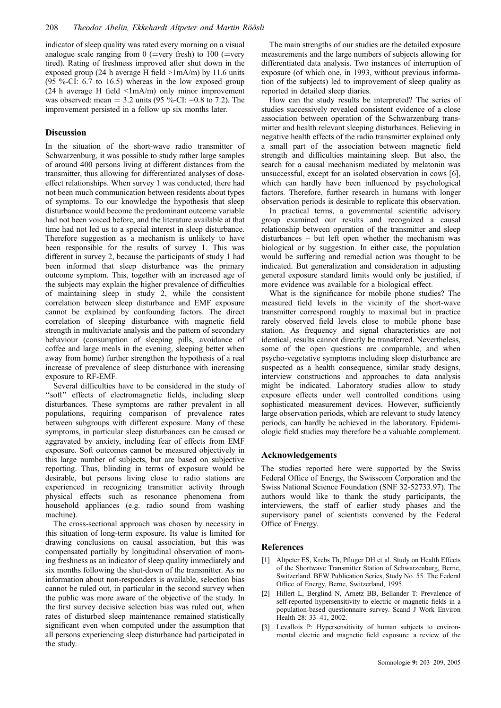indicator of sleep quality was rated every morning on a visual analogue scale ranging from  $0$  (=very fresh) to 100 (=very tired). Rating of freshness improved after shut down in the exposed group (24 h average H field  $>1$ mA/m) by 11.6 units (95 %-CI: 6.7 to 16.5) whereas in the low exposed group (24 h average H field  $\langle 1 \text{mA/m} \rangle$  only minor improvement was observed: mean  $= 3.2$  units (95 %-CI: -0.8 to 7.2). The improvement persisted in a follow up six months later.

# Discussion

In the situation of the short-wave radio transmitter of Schwarzenburg, it was possible to study rather large samples of around 400 persons living at different distances from the transmitter, thus allowing for differentiated analyses of doseeffect relationships. When survey 1 was conducted, there had not been much communication between residents about types of symptoms. To our knowledge the hypothesis that sleep disturbance would become the predominant outcome variable had not been voiced before, and the literature available at that time had not led us to a special interest in sleep disturbance. Therefore suggestion as a mechanism is unlikely to have been responsible for the results of survey 1. This was different in survey 2, because the participants of study 1 had been informed that sleep disturbance was the primary outcome symptom. This, together with an increased age of the subjects may explain the higher prevalence of difficulties of maintaining sleep in study 2, while the consistent correlation between sleep disturbance and EMF exposure cannot be explained by confounding factors. The direct correlation of sleeping disturbance with magnetic field strength in multivariate analysis and the pattern of secondary behaviour (consumption of sleeping pills, avoidance of coffee and large meals in the evening, sleeping better when away from home) further strengthen the hypothesis of a real increase of prevalence of sleep disturbance with increasing exposure to RF-EMF.

Several difficulties have to be considered in the study of "soft" effects of electromagnetic fields, including sleep disturbances. These symptoms are rather prevalent in all populations, requiring comparison of prevalence rates between subgroups with different exposure. Many of these symptoms, in particular sleep disturbances can be caused or aggravated by anxiety, including fear of effects from EMF exposure. Soft outcomes cannot be measured objectively in this large number of subjects, but are based on subjective reporting. Thus, blinding in terms of exposure would be desirable, but persons living close to radio stations are experienced in recognizing transmitter activity through physical effects such as resonance phenomena from household appliances (e.g. radio sound from washing machine).

The cross-sectional approach was chosen by necessity in this situation of long-term exposure. Its value is limited for drawing conclusions on causal association, but this was compensated partially by longitudinal observation of morning freshness as an indicator of sleep quality immediately and six months following the shut-down of the transmitter. As no information about non-responders is available, selection bias cannot be ruled out, in particular in the second survey when the public was more aware of the objective of the study. In the first survey decisive selection bias was ruled out, when rates of disturbed sleep maintenance remained statistically significant even when computed under the assumption that all persons experiencing sleep disturbance had participated in the study.

The main strengths of our studies are the detailed exposure measurements and the large numbers of subjects allowing for differentiated data analysis. Two instances of interruption of exposure (of which one, in 1993, without previous information of the subjects) led to improvement of sleep quality as reported in detailed sleep diaries.

How can the study results be interpreted? The series of studies successively revealed consistent evidence of a close association between operation of the Schwarzenburg transmitter and health relevant sleeping disturbances. Believing in negative health effects of the radio transmitter explained only a small part of the association between magnetic field strength and difficulties maintaining sleep. But also, the search for a causal mechanism mediated by melatonin was unsuccessful, except for an isolated observation in cows [6], which can hardly have been influenced by psychological factors. Therefore, further research in humans with longer observation periods is desirable to replicate this observation.

In practical terms, a governmental scientific advisory group examined our results and recognized a causal relationship between operation of the transmitter and sleep disturbances – but left open whether the mechanism was biological or by suggestion. In either case, the population would be suffering and remedial action was thought to be indicated. But generalization and consideration in adjusting general exposure standard limits would only be justified, if more evidence was available for a biological effect.

What is the significance for mobile phone studies? The measured field levels in the vicinity of the short-wave transmitter correspond roughly to maximal but in practice rarely observed field levels close to mobile phone base station. As frequency and signal characteristics are not identical, results cannot directly be transferred. Nevertheless, some of the open questions are comparable, and when psycho-vegetative symptoms including sleep disturbance are suspected as a health consequence, similar study designs, interview constructions and approaches to data analysis might be indicated. Laboratory studies allow to study exposure effects under well controlled conditions using sophisticated measurement devices. However, sufficiently large observation periods, which are relevant to study latency periods, can hardly be achieved in the laboratory. Epidemiologic field studies may therefore be a valuable complement.

## Acknowledgements

The studies reported here were supported by the Swiss Federal Office of Energy, the Swisscom Corporation and the Swiss National Science Foundation (SNF 32-52733.97). The authors would like to thank the study participants, the interviewers, the staff of earlier study phases and the supervisory panel of scientists convened by the Federal Office of Energy.

## References

- [1] Altpeter ES, Krebs Th, Pfluger DH et al. Study on Health Effects of the Shortwave Transmitter Station of Schwarzenburg, Berne, Switzerland. BEW Publication Series, Study No. 55. The Federal Office of Energy, Berne, Switzerland, 1995.
- [2] Hillert L, Berglind N, Arnetz BB, Bellander T: Prevalence of self-reported hypersensitivity to electric or magnetic fields in a population-based questionnaire survey. Scand J Work Environ Health 28: 33–41, 2002.
- [3] Levallois P: Hypersensitivity of human subjects to environmental electric and magnetic field exposure: a review of the